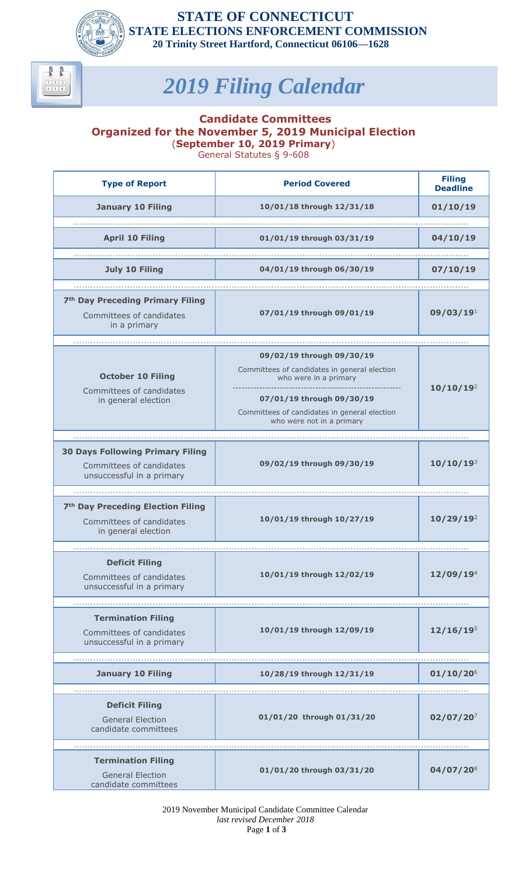

## **STATE OF CONNECTICUT STATE ELECTIONS ENFORCEMENT COMMISSION 20 Trinity Street Hartford, Connecticut 06106—1628**

**Deadline**

**10/10/19**<sup>2</sup>

## *2019 Filing Calendar*

## **Candidate Committees Organized for the November 5, 2019 Municipal Election**  (**September 10, 2019 Primary**) General Statutes § 9-608

**Type of Report Period Covered Filing January 10 Filing 10/01/18 through 12/31/18 01/10/19 ............................................................................................................................................ April 10 Filing 01/01/19 through 03/31/19 04/10/19 ............................................................................................................................................ July 10 Filing 04/01/19 through 06/30/19 07/10/19 ............................................................................................................................................ 7th Day Preceding Primary Filing** Committees of candidates in a primary **07/01/19 through 09/01/19 09/03/19**<sup>1</sup> **............................................................................................................................................ October 10 Filing** Committees of candidates in general election **09/02/19 through 09/30/19** Committees of candidates in general election who were in a primary --------------------------------------------------------- **07/01/19 through 09/30/19** Committees of candidates in general election who were not in a primary

| <b>30 Days Following Primary Filing</b><br>Committees of candidates<br>unsuccessful in a primary | 09/02/19 through 09/30/19 | $10/10/19^{3}$        |
|--------------------------------------------------------------------------------------------------|---------------------------|-----------------------|
|                                                                                                  |                           |                       |
| 7 <sup>th</sup> Day Preceding Election Filing<br>Committees of candidates<br>in general election | 10/01/19 through 10/27/19 | 10/29/19 <sup>2</sup> |
|                                                                                                  |                           |                       |
| <b>Deficit Filing</b><br>Committees of candidates<br>unsuccessful in a primary                   | 10/01/19 through 12/02/19 | 12/09/19 <sup>4</sup> |
|                                                                                                  |                           |                       |
| <b>Termination Filing</b><br>Committees of candidates<br>unsuccessful in a primary               | 10/01/19 through 12/09/19 | $12/16/19^{5}$        |
|                                                                                                  |                           |                       |
| <b>January 10 Filing</b>                                                                         | 10/28/19 through 12/31/19 | $01/10/20^{6}$        |
|                                                                                                  |                           |                       |
| <b>Deficit Filing</b><br><b>General Election</b><br>candidate committees                         | 01/01/20 through 01/31/20 | $02/07/20^{7}$        |
|                                                                                                  |                           |                       |
| <b>Termination Filing</b><br><b>General Election</b><br>candidate committees                     | 01/01/20 through 03/31/20 | $04/07/20^{8}$        |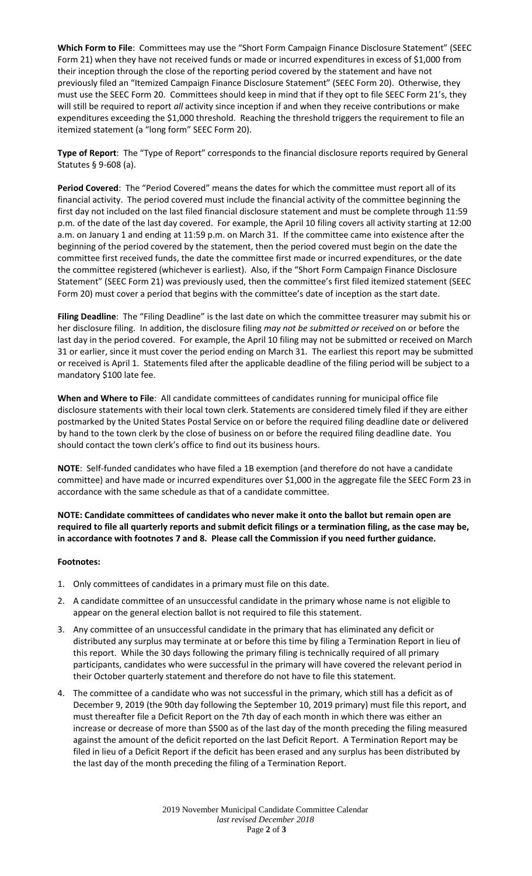**Which Form to File**: Committees may use the "Short Form Campaign Finance Disclosure Statement" (SEEC Form 21) when they have not received funds or made or incurred expenditures in excess of \$1,000 from their inception through the close of the reporting period covered by the statement and have not previously filed an "Itemized Campaign Finance Disclosure Statement" (SEEC Form 20). Otherwise, they must use the SEEC Form 20. Committees should keep in mind that if they opt to file SEEC Form 21's, they will still be required to report *all* activity since inception if and when they receive contributions or make expenditures exceeding the \$1,000 threshold. Reaching the threshold triggers the requirement to file an itemized statement (a "long form" SEEC Form 20).

**Type of Report**: The "Type of Report" corresponds to the financial disclosure reports required by General Statutes § 9-608 (a).

**Period Covered**: The "Period Covered" means the dates for which the committee must report all of its financial activity. The period covered must include the financial activity of the committee beginning the first day not included on the last filed financial disclosure statement and must be complete through 11:59 p.m. of the date of the last day covered. For example, the April 10 filing covers all activity starting at 12:00 a.m. on January 1 and ending at 11:59 p.m. on March 31. If the committee came into existence after the beginning of the period covered by the statement, then the period covered must begin on the date the committee first received funds, the date the committee first made or incurred expenditures, or the date the committee registered (whichever is earliest). Also, if the "Short Form Campaign Finance Disclosure Statement" (SEEC Form 21) was previously used, then the committee's first filed itemized statement (SEEC Form 20) must cover a period that begins with the committee's date of inception as the start date.

**Filing Deadline**: The "Filing Deadline" is the last date on which the committee treasurer may submit his or her disclosure filing. In addition, the disclosure filing *may not be submitted or received* on or before the last day in the period covered. For example, the April 10 filing may not be submitted or received on March 31 or earlier, since it must cover the period ending on March 31. The earliest this report may be submitted or received is April 1. Statements filed after the applicable deadline of the filing period will be subject to a mandatory \$100 late fee.

**When and Where to File**: All candidate committees of candidates running for municipal office file disclosure statements with their local town clerk. Statements are considered timely filed if they are either postmarked by the United States Postal Service on or before the required filing deadline date or delivered by hand to the town clerk by the close of business on or before the required filing deadline date. You should contact the town clerk's office to find out its business hours.

**NOTE**: Self-funded candidates who have filed a 1B exemption (and therefore do not have a candidate committee) and have made or incurred expenditures over \$1,000 in the aggregate file the SEEC Form 23 in accordance with the same schedule as that of a candidate committee.

**NOTE: Candidate committees of candidates who never make it onto the ballot but remain open are required to file all quarterly reports and submit deficit filings or a termination filing, as the case may be, in accordance with footnotes 7 and 8. Please call the Commission if you need further guidance.**

## **Footnotes:**

- 1. Only committees of candidates in a primary must file on this date.
- 2. A candidate committee of an unsuccessful candidate in the primary whose name is not eligible to appear on the general election ballot is not required to file this statement.
- 3. Any committee of an unsuccessful candidate in the primary that has eliminated any deficit or distributed any surplus may terminate at or before this time by filing a Termination Report in lieu of this report. While the 30 days following the primary filing is technically required of all primary participants, candidates who were successful in the primary will have covered the relevant period in their October quarterly statement and therefore do not have to file this statement.
- 4. The committee of a candidate who was not successful in the primary, which still has a deficit as of December 9, 2019 (the 90th day following the September 10, 2019 primary) must file this report, and must thereafter file a Deficit Report on the 7th day of each month in which there was either an increase or decrease of more than \$500 as of the last day of the month preceding the filing measured against the amount of the deficit reported on the last Deficit Report. A Termination Report may be filed in lieu of a Deficit Report if the deficit has been erased and any surplus has been distributed by the last day of the month preceding the filing of a Termination Report.